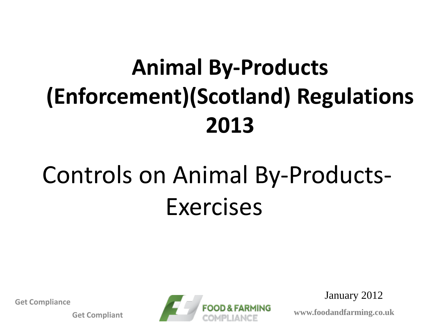# **Animal By-Products (Enforcement)(Scotland) Regulations 2013**

# Controls on Animal By-Products-Exercises

**Get Compliance**

**Get Compliant**



January 2012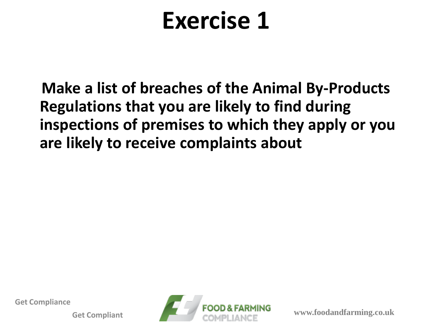**Make a list of breaches of the Animal By-Products Regulations that you are likely to find during inspections of premises to which they apply or you are likely to receive complaints about** 

**Get Compliance**

**Get Compliant**

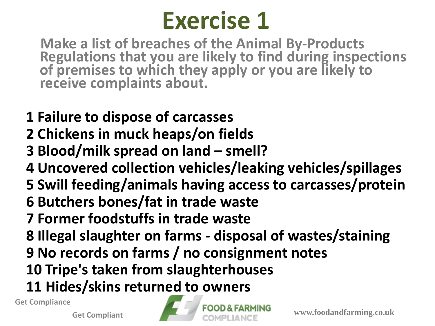**Make a list of breaches of the Animal By-Products Regulations that you are likely to find during inspections of premises to which they apply or you are likely to receive complaints about.**

- **1 Failure to dispose of carcasses**
- **2 Chickens in muck heaps/on fields**
- **3 Blood/milk spread on land – smell?**
- **4 Uncovered collection vehicles/leaking vehicles/spillages**
- **5 Swill feeding/animals having access to carcasses/protein**
- **6 Butchers bones/fat in trade waste**
- **7 Former foodstuffs in trade waste**
- **8 Illegal slaughter on farms - disposal of wastes/staining**
- **9 No records on farms / no consignment notes**
- **10 Tripe's taken from slaughterhouses**
- **11 Hides/skins returned to owners**

**Get Compliance**

**Get Compliant**

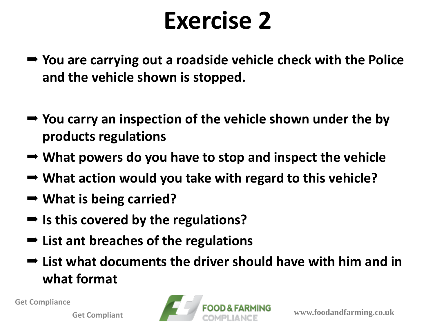- **You are carrying out a roadside vehicle check with the Police and the vehicle shown is stopped.**
- **You carry an inspection of the vehicle shown under the by products regulations**
- **What powers do you have to stop and inspect the vehicle**
- **What action would you take with regard to this vehicle?**
- **What is being carried?**
- Is this covered by the regulations?
- **List ant breaches of the regulations**
- **List what documents the driver should have with him and in what format**

**Get Compliance**

**Get Compliant**

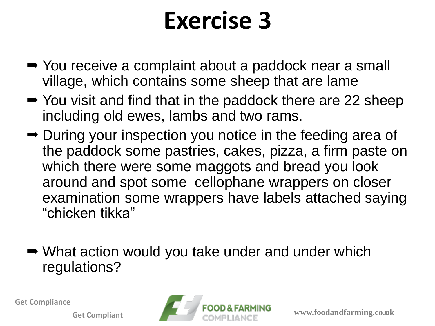- **→ You receive a complaint about a paddock near a small** village, which contains some sheep that are lame
- **→** You visit and find that in the paddock there are 22 sheep including old ewes, lambs and two rams.
- **→ During your inspection you notice in the feeding area of** the paddock some pastries, cakes, pizza, a firm paste on which there were some maggots and bread you look around and spot some cellophane wrappers on closer examination some wrappers have labels attached saying "chicken tikka"
- **→ What action would you take under and under which** regulations?

**Get Compliance**

**Get Compliant**

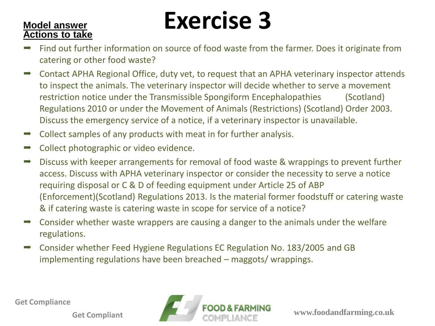#### **Actions to take**

# **Model answer Exercise 3**

- Find out further information on source of food waste from the farmer. Does it originate from catering or other food waste?
- **→** Contact APHA Regional Office, duty vet, to request that an APHA veterinary inspector attends to inspect the animals. The veterinary inspector will decide whether to serve a movement restriction notice under the Transmissible Spongiform Encephalopathies (Scotland) Regulations 2010 or under the Movement of Animals (Restrictions) (Scotland) Order 2003. Discuss the emergency service of a notice, if a veterinary inspector is unavailable.
- $\rightarrow$  Collect samples of any products with meat in for further analysis.
- $\rightarrow$  Collect photographic or video evidence.
- **→** Discuss with keeper arrangements for removal of food waste & wrappings to prevent further access. Discuss with APHA veterinary inspector or consider the necessity to serve a notice requiring disposal or C & D of feeding equipment under Article 25 of ABP (Enforcement)(Scotland) Regulations 2013. Is the material former foodstuff or catering waste & if catering waste is catering waste in scope for service of a notice?
- $\rightarrow$  Consider whether waste wrappers are causing a danger to the animals under the welfare regulations.
- Consider whether Feed Hygiene Regulations EC Regulation No. 183/2005 and GB implementing regulations have been breached – maggots/ wrappings.

**Get Compliance**

**Get Compliant**